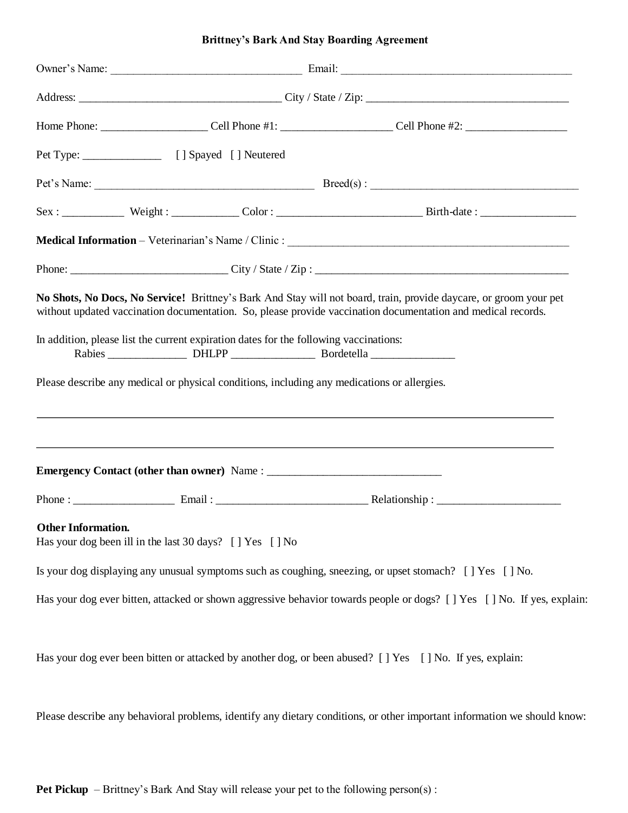|  |  |  |  | <b>Brittney's Bark And Stay Boarding Agreement</b> |
|--|--|--|--|----------------------------------------------------|
|--|--|--|--|----------------------------------------------------|

|                           |                                                                                       | No Shots, No Docs, No Service! Brittney's Bark And Stay will not board, train, provide daycare, or groom your pet<br>without updated vaccination documentation. So, please provide vaccination documentation and medical records. |  |  |
|---------------------------|---------------------------------------------------------------------------------------|-----------------------------------------------------------------------------------------------------------------------------------------------------------------------------------------------------------------------------------|--|--|
|                           | In addition, please list the current expiration dates for the following vaccinations: |                                                                                                                                                                                                                                   |  |  |
|                           |                                                                                       | ,我们也不会有什么?""我们的人,我们也不会有什么?""我们的人,我们也不会有什么?""我们的人,我们也不会有什么?""我们的人,我们也不会有什么?""我们的人                                                                                                                                                  |  |  |
|                           |                                                                                       |                                                                                                                                                                                                                                   |  |  |
| <b>Other Information.</b> | Has your dog been ill in the last 30 days? [] Yes [] No                               |                                                                                                                                                                                                                                   |  |  |
|                           |                                                                                       | Is your dog displaying any unusual symptoms such as coughing, sneezing, or upset stomach? [] Yes [] No.                                                                                                                           |  |  |
|                           |                                                                                       | Has your dog ever bitten, attacked or shown aggressive behavior towards people or dogs? [] Yes [] No. If yes, explain:                                                                                                            |  |  |
|                           |                                                                                       | Has your dog ever been bitten or attacked by another dog, or been abused? [ ] Yes [ ] No. If yes, explain:                                                                                                                        |  |  |
|                           |                                                                                       | Please describe any behavioral problems, identify any dietary conditions, or other important information we should know:                                                                                                          |  |  |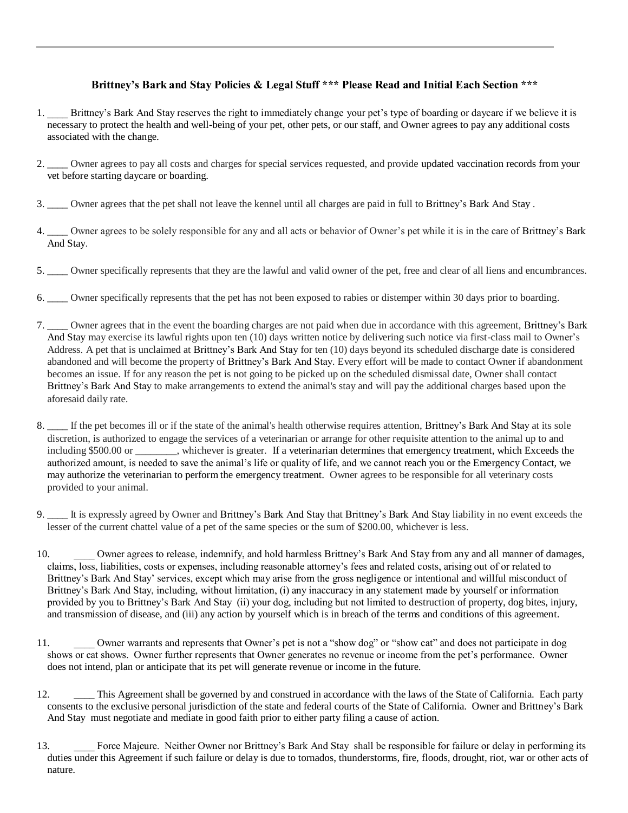## **Brittney's Bark and Stay Policies & Legal Stuff \*\*\* Please Read and Initial Each Section \*\*\***

- 1. Brittney's Bark And Stay reserves the right to immediately change your pet's type of boarding or daycare if we believe it is necessary to protect the health and well-being of your pet, other pets, or our staff, and Owner agrees to pay any additional costs associated with the change.
- 2. \_\_\_\_ Owner agrees to pay all costs and charges for special services requested, and provide updated vaccination records from your vet before starting daycare or boarding.
- 3. \_\_\_\_ Owner agrees that the pet shall not leave the kennel until all charges are paid in full to Brittney's Bark And Stay .
- 4. \_\_\_\_ Owner agrees to be solely responsible for any and all acts or behavior of Owner's pet while it is in the care of Brittney's Bark And Stay.
- 5. \_\_\_\_ Owner specifically represents that they are the lawful and valid owner of the pet, free and clear of all liens and encumbrances.
- 6. \_\_\_\_ Owner specifically represents that the pet has not been exposed to rabies or distemper within 30 days prior to boarding.
- 7. \_\_\_\_ Owner agrees that in the event the boarding charges are not paid when due in accordance with this agreement, Brittney's Bark And Stay may exercise its lawful rights upon ten (10) days written notice by delivering such notice via first-class mail to Owner's Address. A pet that is unclaimed at Brittney's Bark And Stay for ten (10) days beyond its scheduled discharge date is considered abandoned and will become the property of Brittney's Bark And Stay. Every effort will be made to contact Owner if abandonment becomes an issue. If for any reason the pet is not going to be picked up on the scheduled dismissal date, Owner shall contact Brittney's Bark And Stay to make arrangements to extend the animal's stay and will pay the additional charges based upon the aforesaid daily rate.
- 8. The pet becomes ill or if the state of the animal's health otherwise requires attention, Brittney's Bark And Stay at its sole discretion, is authorized to engage the services of a veterinarian or arrange for other requisite attention to the animal up to and including \$500.00 or \_\_\_\_\_\_\_\_, whichever is greater. If a veterinarian determines that emergency treatment, which Exceeds the authorized amount, is needed to save the animal's life or quality of life, and we cannot reach you or the Emergency Contact, we may authorize the veterinarian to perform the emergency treatment. Owner agrees to be responsible for all veterinary costs provided to your animal.
- 9. \_\_\_\_ It is expressly agreed by Owner and Brittney's Bark And Stay that Brittney's Bark And Stay liability in no event exceeds the lesser of the current chattel value of a pet of the same species or the sum of \$200.00, whichever is less.
- 10. Owner agrees to release, indemnify, and hold harmless Brittney's Bark And Stay from any and all manner of damages, claims, loss, liabilities, costs or expenses, including reasonable attorney's fees and related costs, arising out of or related to Brittney's Bark And Stay' services, except which may arise from the gross negligence or intentional and willful misconduct of Brittney's Bark And Stay, including, without limitation, (i) any inaccuracy in any statement made by yourself or information provided by you to Brittney's Bark And Stay (ii) your dog, including but not limited to destruction of property, dog bites, injury, and transmission of disease, and (iii) any action by yourself which is in breach of the terms and conditions of this agreement.
- 11. \_\_\_\_ Owner warrants and represents that Owner's pet is not a "show dog" or "show cat" and does not participate in dog shows or cat shows. Owner further represents that Owner generates no revenue or income from the pet's performance. Owner does not intend, plan or anticipate that its pet will generate revenue or income in the future.
- 12. \_\_\_\_\_ This Agreement shall be governed by and construed in accordance with the laws of the State of California. Each party consents to the exclusive personal jurisdiction of the state and federal courts of the State of California. Owner and Brittney's Bark And Stay must negotiate and mediate in good faith prior to either party filing a cause of action.
- 13. Force Majeure. Neither Owner nor Brittney's Bark And Stay shall be responsible for failure or delay in performing its duties under this Agreement if such failure or delay is due to tornados, thunderstorms, fire, floods, drought, riot, war or other acts of nature.